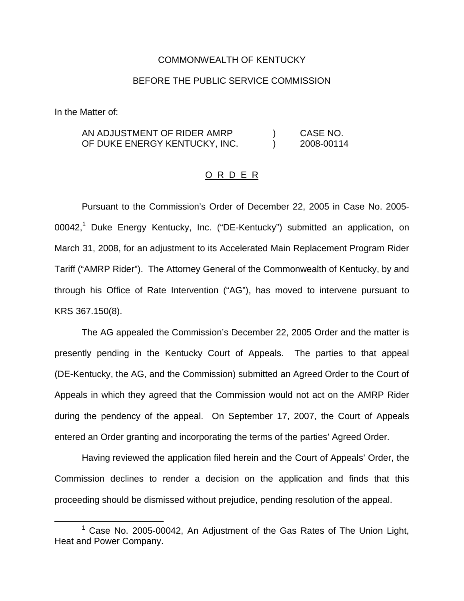## COMMONWEALTH OF KENTUCKY

## BEFORE THE PUBLIC SERVICE COMMISSION

In the Matter of:

AN ADJUSTMENT OF RIDER AMRP ) CASE NO. OF DUKE ENERGY KENTUCKY, INC.  $\qquad \qquad$  2008-00114

## O R D E R

Pursuant to the Commission's Order of December 22, 2005 in Case No. 2005- 00042,<sup>1</sup> Duke Energy Kentucky, Inc. ("DE-Kentucky") submitted an application, on March 31, 2008, for an adjustment to its Accelerated Main Replacement Program Rider Tariff ("AMRP Rider"). The Attorney General of the Commonwealth of Kentucky, by and through his Office of Rate Intervention ("AG"), has moved to intervene pursuant to KRS 367.150(8).

The AG appealed the Commission's December 22, 2005 Order and the matter is presently pending in the Kentucky Court of Appeals. The parties to that appeal (DE-Kentucky, the AG, and the Commission) submitted an Agreed Order to the Court of Appeals in which they agreed that the Commission would not act on the AMRP Rider during the pendency of the appeal. On September 17, 2007, the Court of Appeals entered an Order granting and incorporating the terms of the parties' Agreed Order.

Having reviewed the application filed herein and the Court of Appeals' Order, the Commission declines to render a decision on the application and finds that this proceeding should be dismissed without prejudice, pending resolution of the appeal.

 $1$  Case No. 2005-00042, An Adjustment of the Gas Rates of The Union Light, Heat and Power Company.